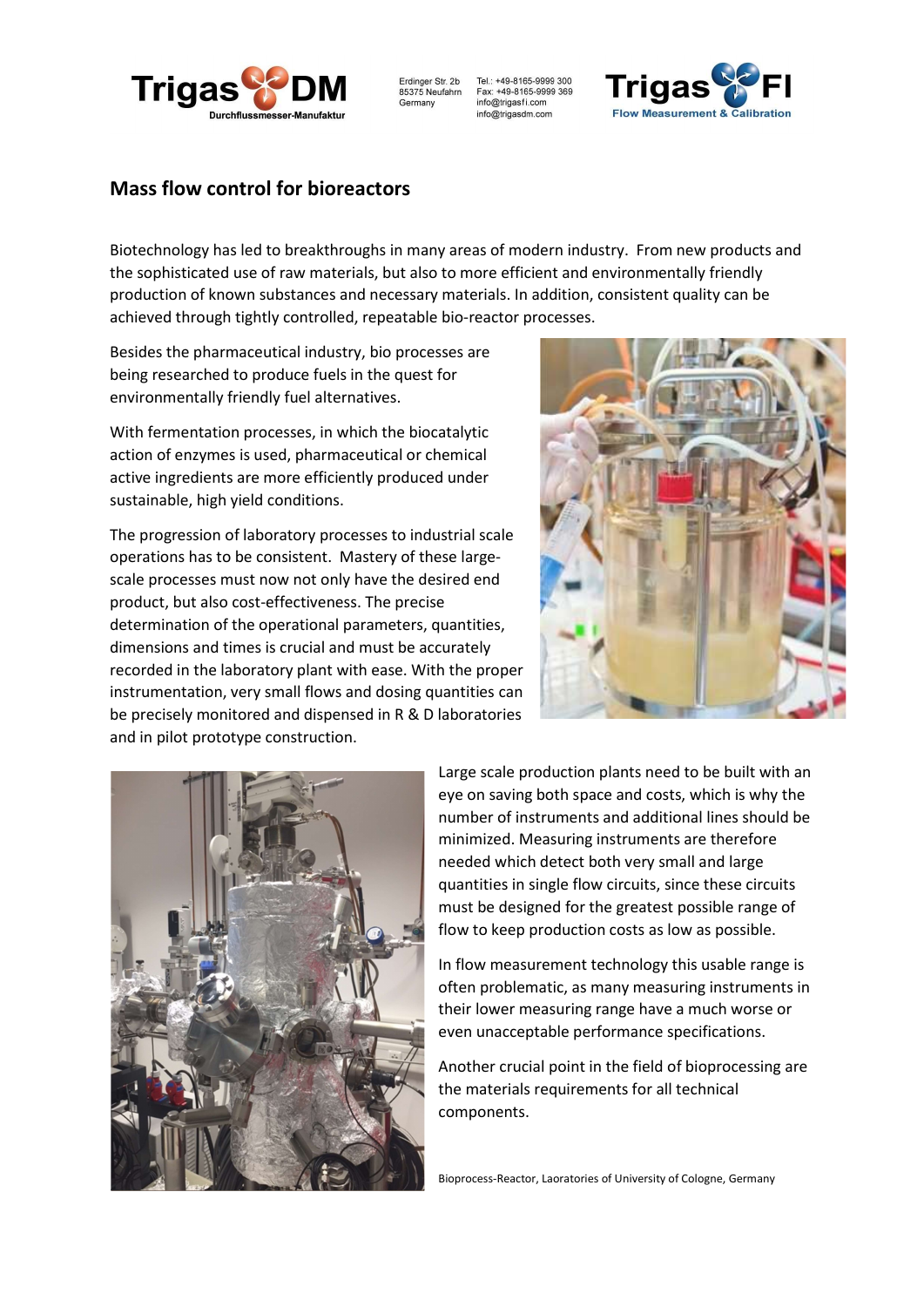

Erdinger Str. 2b<br>85375 Neufahrn Germany

Tel.: +49-8165-9999 300 Fax: +49-8165-9999 369 info@trigasfi.com info@trigasdm.com



## Mass flow control for bioreactors

Biotechnology has led to breakthroughs in many areas of modern industry. From new products and the sophisticated use of raw materials, but also to more efficient and environmentally friendly production of known substances and necessary materials. In addition, consistent quality can be achieved through tightly controlled, repeatable bio-reactor processes.

Besides the pharmaceutical industry, bio processes are being researched to produce fuels in the quest for environmentally friendly fuel alternatives.

With fermentation processes, in which the biocatalytic action of enzymes is used, pharmaceutical or chemical active ingredients are more efficiently produced under sustainable, high yield conditions.

The progression of laboratory processes to industrial scale operations has to be consistent. Mastery of these largescale processes must now not only have the desired end product, but also cost-effectiveness. The precise determination of the operational parameters, quantities, dimensions and times is crucial and must be accurately recorded in the laboratory plant with ease. With the proper instrumentation, very small flows and dosing quantities can be precisely monitored and dispensed in R & D laboratories and in pilot prototype construction.





Large scale production plants need to be built with an eye on saving both space and costs, which is why the number of instruments and additional lines should be minimized. Measuring instruments are therefore needed which detect both very small and large quantities in single flow circuits, since these circuits must be designed for the greatest possible range of flow to keep production costs as low as possible.

In flow measurement technology this usable range is often problematic, as many measuring instruments in their lower measuring range have a much worse or even unacceptable performance specifications.

Another crucial point in the field of bioprocessing are the materials requirements for all technical components.

Bioprocess-Reactor, Laoratories of University of Cologne, Germany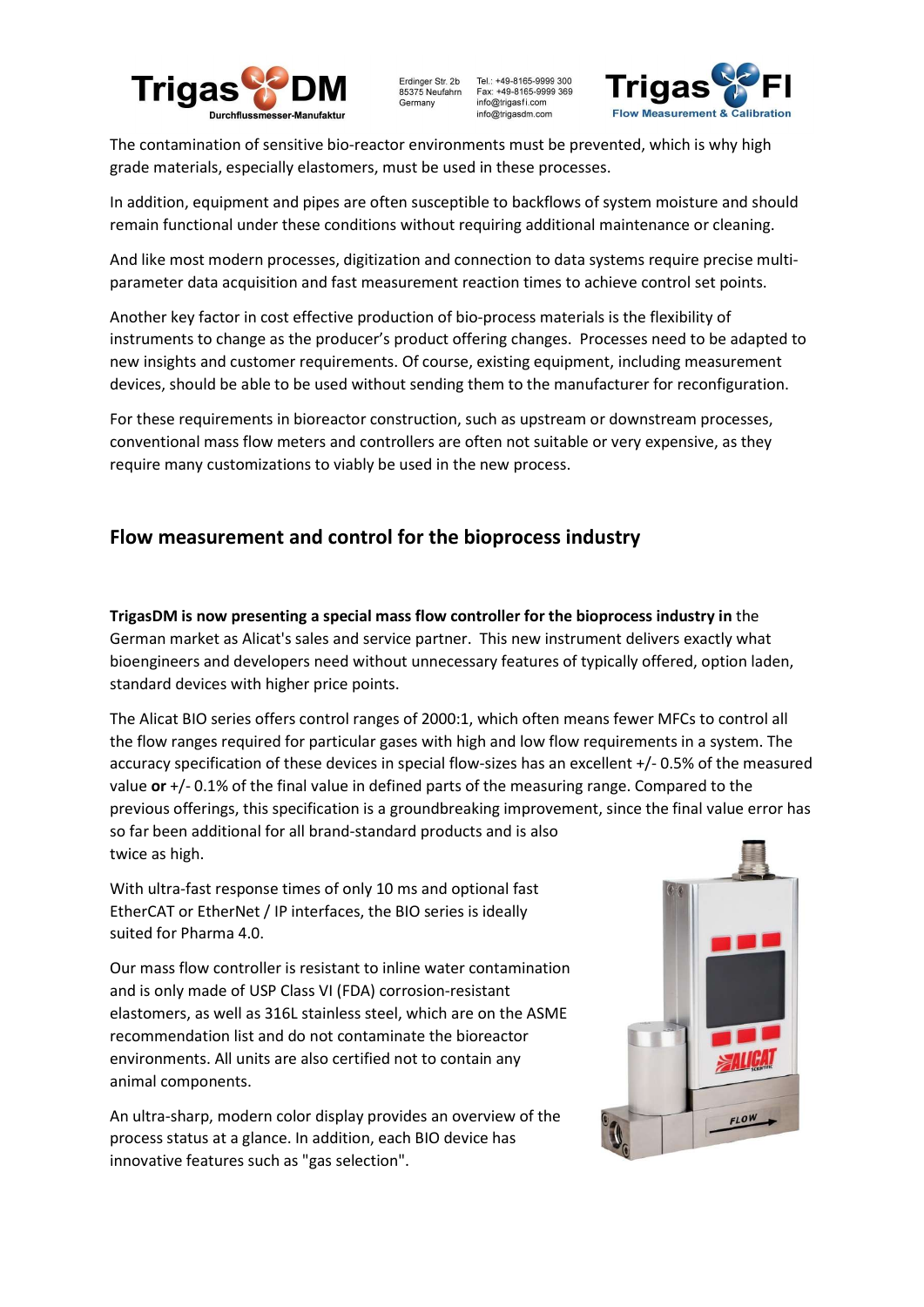

Erdinger Str. 2b<br>85375 Neufahrn Tel.: +49-8165-9999 300 Fax: +49-8165-9999 369 Germany info@trigasfi.com info@trigasdm.com



The contamination of sensitive bio-reactor environments must be prevented, which is why high grade materials, especially elastomers, must be used in these processes.

In addition, equipment and pipes are often susceptible to backflows of system moisture and should remain functional under these conditions without requiring additional maintenance or cleaning.

And like most modern processes, digitization and connection to data systems require precise multiparameter data acquisition and fast measurement reaction times to achieve control set points.

Another key factor in cost effective production of bio-process materials is the flexibility of instruments to change as the producer's product offering changes. Processes need to be adapted to new insights and customer requirements. Of course, existing equipment, including measurement devices, should be able to be used without sending them to the manufacturer for reconfiguration.

For these requirements in bioreactor construction, such as upstream or downstream processes, conventional mass flow meters and controllers are often not suitable or very expensive, as they require many customizations to viably be used in the new process.

## Flow measurement and control for the bioprocess industry

TrigasDM is now presenting a special mass flow controller for the bioprocess industry in the German market as Alicat's sales and service partner. This new instrument delivers exactly what bioengineers and developers need without unnecessary features of typically offered, option laden, standard devices with higher price points.

The Alicat BIO series offers control ranges of 2000:1, which often means fewer MFCs to control all the flow ranges required for particular gases with high and low flow requirements in a system. The accuracy specification of these devices in special flow-sizes has an excellent +/- 0.5% of the measured value or  $+/-0.1\%$  of the final value in defined parts of the measuring range. Compared to the previous offerings, this specification is a groundbreaking improvement, since the final value error has so far been additional for all brand-standard products and is also twice as high.

With ultra-fast response times of only 10 ms and optional fast EtherCAT or EtherNet / IP interfaces, the BIO series is ideally suited for Pharma 4.0.

Our mass flow controller is resistant to inline water contamination and is only made of USP Class VI (FDA) corrosion-resistant elastomers, as well as 316L stainless steel, which are on the ASME recommendation list and do not contaminate the bioreactor environments. All units are also certified not to contain any animal components.

An ultra-sharp, modern color display provides an overview of the process status at a glance. In addition, each BIO device has innovative features such as "gas selection".